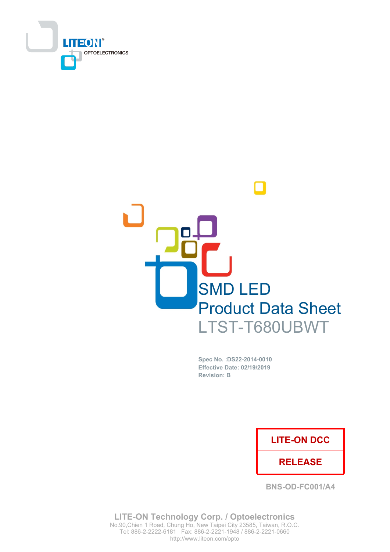



Spec No. : DS22-2014-0010 **Effective Date: 02/19/2019 Revision: B** 

### **LITE-ON DCC**

### **RELEASE**

**BNS-OD-FC001/A4** 

**LITE-ON Technology Corp. / Optoelectronics** No.90, Chien 1 Road, Chung Ho, New Taipei City 23585, Taiwan, R.O.C. Tel: 886-2-2222-6181 Fax: 886-2-2221-1948 / 886-2-2221-0660 http://www.liteon.com/opto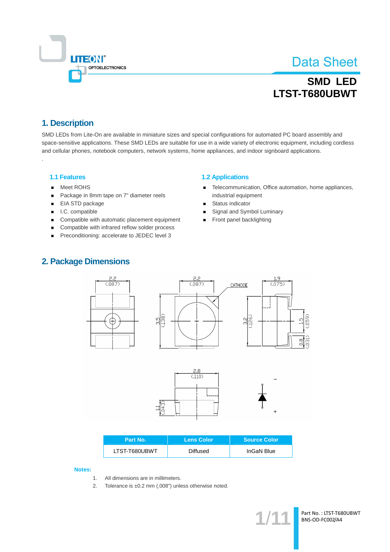

## **SMD LED** LTST-T680UBWT

### 1. Description

SMD LEDs from Lite-On are available in miniature sizes and special configurations for automated PC board assembly and space-sensitive applications. These SMD LEDs are suitable for use in a wide variety of electronic equipment, including cordless and cellular phones, notebook computers, network systems, home appliances, and indoor signboard applications.

### **1.1 Features**

- Meet ROHS  $\blacksquare$
- Package in 8mm tape on 7" diameter reels  $\blacksquare$
- $\blacksquare$ EIA STD package
- I.C. compatible
- Compatible with automatic placement equipment
- Compatible with infrared reflow solder process  $\blacksquare$
- Preconditioning: accelerate to JEDEC level 3

### **1.2 Applications**

- Telecommunication, Office automation, home appliances,  $\blacksquare$ industrial equipment
- Status indicator
- Signal and Symbol Luminary
- Front panel backlighting  $\blacksquare$

### **2. Package Dimensions**







| Part No.      | <b>Lens Color</b> | <b>Source Color</b> |
|---------------|-------------------|---------------------|
| LTST-T680UBWT | Diffused          | InGaN Blue          |

Notes:

- $\mathbf{1}$ . All dimensions are in millimeters.
- $2.$ Tolerance is  $\pm 0.2$  mm (.008") unless otherwise noted.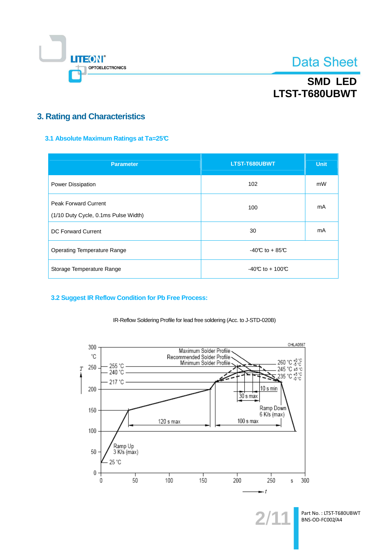

## **SMD LED** LTST-T680UBWT

### **3. Rating and Characteristics**

### 3.1 Absolute Maximum Ratings at Ta=25°C

| <b>Parameter</b>                                                    | LTST-T680UBWT     | <b>Unit</b> |  |
|---------------------------------------------------------------------|-------------------|-------------|--|
| <b>Power Dissipation</b>                                            | 102               | mW          |  |
| <b>Peak Forward Current</b><br>(1/10 Duty Cycle, 0.1ms Pulse Width) | 100               | mA          |  |
| <b>DC Forward Current</b>                                           | mA<br>30          |             |  |
| <b>Operating Temperature Range</b>                                  | $-40C$ to $+85C$  |             |  |
| Storage Temperature Range                                           | $-40C$ to + 100°C |             |  |

### 3.2 Suggest IR Reflow Condition for Pb Free Process:



IR-Reflow Soldering Profile for lead free soldering (Acc. to J-STD-020B)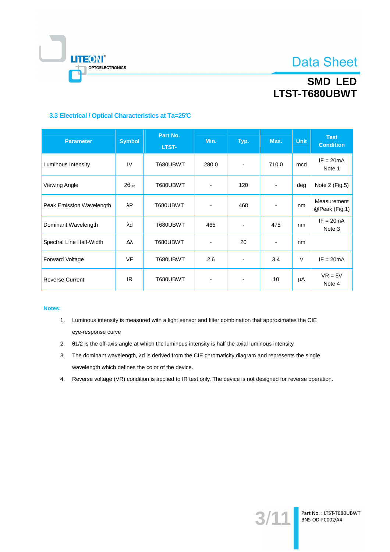

## **SMD LED** LTST-T680UBWT

### 3.3 Electrical / Optical Characteristics at Ta=25°C

| <b>Parameter</b>         | <b>Symbol</b>   | Part No.<br>LTST- | Min.                     | Typ.                     | Max.                     | <b>Unit</b> | <b>Test</b><br><b>Condition</b> |
|--------------------------|-----------------|-------------------|--------------------------|--------------------------|--------------------------|-------------|---------------------------------|
| Luminous Intensity       | IV              | T680UBWT          | 280.0                    | $\overline{\phantom{a}}$ | 710.0                    | mcd         | $IF = 20mA$<br>Note 1           |
| Viewing Angle            | $2\theta_{1/2}$ | T680UBWT          |                          | 120                      |                          | deg         | Note 2 (Fig.5)                  |
| Peak Emission Wavelength | λP              | T680UBWT          |                          | 468                      | $\overline{\phantom{0}}$ | nm          | Measurement<br>@Peak (Fig.1)    |
| Dominant Wavelength      | λd              | T680UBWT          | 465                      | $\overline{\phantom{a}}$ | 475                      | nm          | $IF = 20mA$<br>Note 3           |
| Spectral Line Half-Width | Δλ              | T680UBWT          | $\overline{\phantom{a}}$ | 20                       | $\blacksquare$           | nm          |                                 |
| <b>Forward Voltage</b>   | <b>VF</b>       | T680UBWT          | 2.6                      | $\overline{\phantom{a}}$ | 3.4                      | $\vee$      | $IF = 20mA$                     |
| <b>Reverse Current</b>   | IR.             | T680UBWT          | $\overline{\phantom{a}}$ | $\overline{\phantom{a}}$ | 10                       | μA          | $VR = 5V$<br>Note 4             |

#### Notes:

- 1. Luminous intensity is measured with a light sensor and filter combination that approximates the CIE eye-response curve
- 2. 01/2 is the off-axis angle at which the luminous intensity is half the axial luminous intensity.
- 3. The dominant wavelength,  $\lambda$ d is derived from the CIE chromaticity diagram and represents the single wavelength which defines the color of the device.
- 4. Reverse voltage (VR) condition is applied to IR test only. The device is not designed for reverse operation.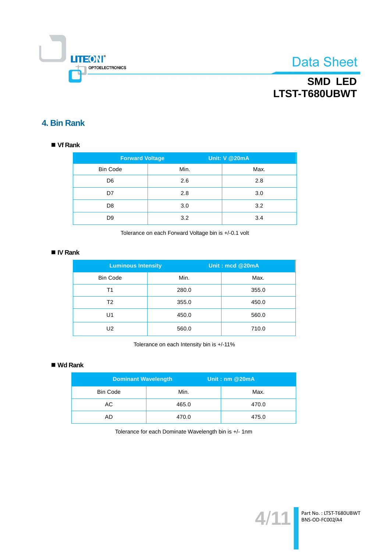

## **SMD LED** LTST-T680UBWT

### 4. Bin Rank

### $\blacksquare$  Vf Rank

| <b>Forward Voltage</b> |      | <b>Unit: V @20mA</b> |
|------------------------|------|----------------------|
| <b>Bin Code</b>        | Min. | Max.                 |
| D <sub>6</sub>         | 2.6  | 2.8                  |
| D7                     | 2.8  | 3.0                  |
| D <sub>8</sub>         | 3.0  | 3.2                  |
| D <sub>9</sub>         | 3.2  | 3.4                  |

Tolerance on each Forward Voltage bin is +/-0.1 volt

### ■ IV Rank

| <b>Luminous Intensity</b> |       | Unit: mcd @20mA |  |
|---------------------------|-------|-----------------|--|
| <b>Bin Code</b>           | Min.  | Max.            |  |
| Τ1                        | 280.0 | 355.0           |  |
| T <sub>2</sub>            | 355.0 | 450.0           |  |
| U1                        | 450.0 | 560.0           |  |
| U2                        | 560.0 | 710.0           |  |

Tolerance on each Intensity bin is +/-11%

### $\blacksquare$  Wd Rank

| <b>Dominant Wavelength</b> |       | Unit: $nm@20mA$ |
|----------------------------|-------|-----------------|
| <b>Bin Code</b>            | Min.  | Max.            |
| AC.                        | 465.0 | 470.0           |
| AD                         | 470.0 | 475.0           |

Tolerance for each Dominate Wavelength bin is +/- 1nm

 $4/1$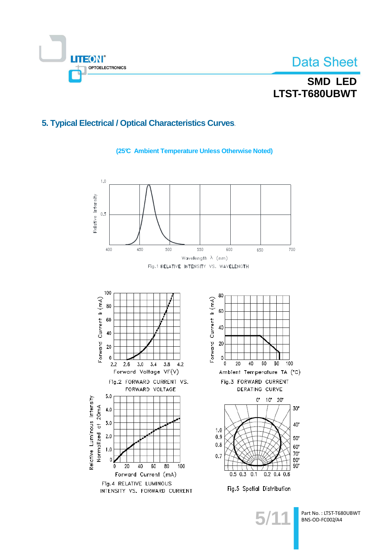

## **SMD LED** LTST-T680UBWT

### 5. Typical Electrical / Optical Characteristics Curves.

(25°C Ambient Temperature Unless Otherwise Noted)

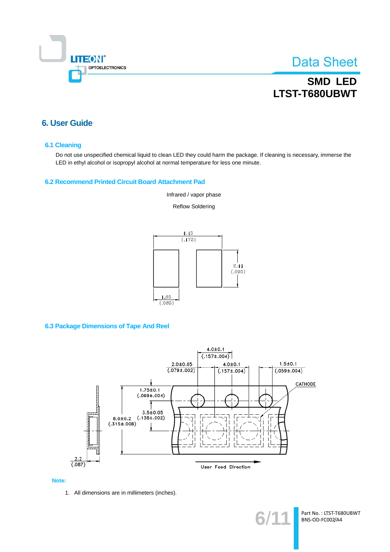

## **SMD LED** LTST-T680UBWT

### **6. User Guide**

#### **6.1 Cleaning**

Do not use unspecified chemical liquid to clean LED they could harm the package. If cleaning is necessary, immerse the LED in ethyl alcohol or isopropyl alcohol at normal temperature for less one minute.

#### 6.2 Recommend Printed Circuit Board Attachment Pad

Infrared / vapor phase

**Reflow Soldering** 



### **6.3 Package Dimensions of Tape And Reel**



#### Note:

1. All dimensions are in millimeters (inches).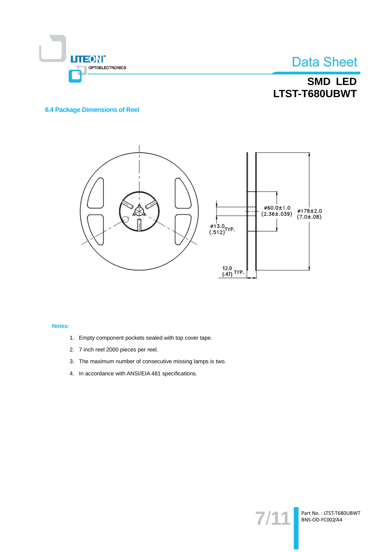

## **SMD LED** LTST-T680UBWT

### **6.4 Package Dimensions of Reel**



### Notes:

- 1. Empty component pockets sealed with top cover tape.
- 2. 7 inch reel 2000 pieces per reel.
- 3. The maximum number of consecutive missing lamps is two.
- 4. In accordance with ANSI/EIA 481 specifications.

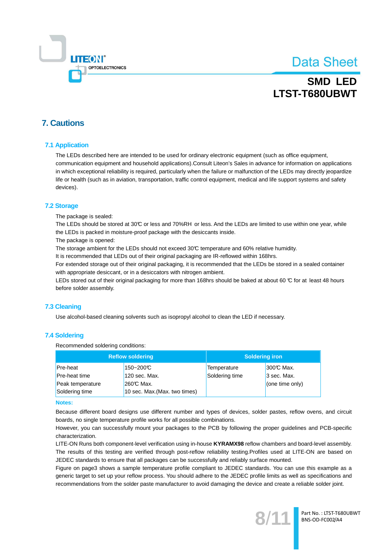

## **SMD LED** LTST-T680UBWT

### **7. Cautions**

### **7.1 Application**

The LEDs described here are intended to be used for ordinary electronic equipment (such as office equipment, communication equipment and household applications).Consult Liteon's Sales in advance for information on applications in which exceptional reliability is required, particularly when the failure or malfunction of the LEDs may directly jeopardize life or health (such as in aviation, transportation, traffic control equipment, medical and life support systems and safety devices).

#### **7.2 Storage**

The package is sealed:

The LEDs should be stored at 30°C or less and 70%RH or less. And the LEDs are limited to use within one year, while the LEDs is packed in moisture-proof package with the desiccants inside.

The package is opened:

The storage ambient for the LEDs should not exceed 30°C temperature and 60% relative humidity.

It is recommended that LEDs out of their original packaging are IR-reflowed within 168hrs.

For extended storage out of their original packaging, it is recommended that the LEDs be stored in a sealed container with appropriate desiccant, or in a desiccators with nitrogen ambient.

LEDs stored out of their original packaging for more than 168hrs should be baked at about 60 °C for at least 48 hours before solder assembly.

### 7.3 Cleaning

Use alcohol-based cleaning solvents such as isopropyl alcohol to clean the LED if necessary.

### **7.4 Soldering**

Recommended soldering conditions:

| <b>Reflow soldering</b> |                               | <b>Soldering iron</b> |                 |  |
|-------------------------|-------------------------------|-----------------------|-----------------|--|
| Pre-heat                | 150~200°C                     | Temperature           | 300℃ Max.       |  |
| <b>Pre-heat time</b>    | 120 sec. Max.                 | Soldering time        | 3 sec. Max.     |  |
| Peak temperature        | 260℃ Max.                     |                       | (one time only) |  |
| Soldering time          | 10 sec. Max. (Max. two times) |                       |                 |  |

#### **Notes:**

Because different board designs use different number and types of devices, solder pastes, reflow ovens, and circuit boards, no single temperature profile works for all possible combinations.

However, you can successfully mount your packages to the PCB by following the proper guidelines and PCB-specific characterization

LITE-ON Runs both component-level verification using in-house KYRAMX98 reflow chambers and board-level assembly. The results of this testing are verified through post-reflow reliability testing.Profiles used at LITE-ON are based on JEDEC standards to ensure that all packages can be successfully and reliably surface mounted.

Figure on page3 shows a sample temperature profile compliant to JEDEC standards. You can use this example as a generic target to set up your reflow process. You should adhere to the JEDEC profile limits as well as specifications and recommendations from the solder paste manufacturer to avoid damaging the device and create a reliable solder joint.

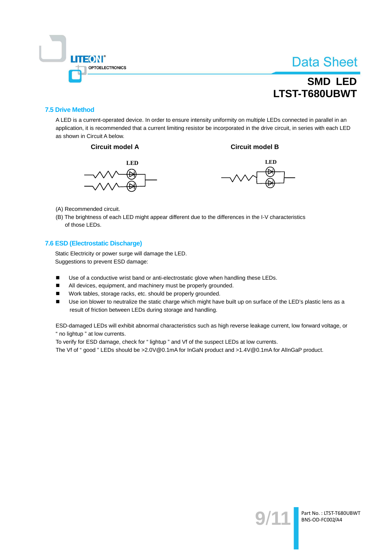

## **SMD LED** LTST-T680UBWT

### **7.5 Drive Method**

A LED is a current-operated device. In order to ensure intensity uniformity on multiple LEDs connected in parallel in an application, it is recommended that a current limiting resistor be incorporated in the drive circuit, in series with each LED as shown in Circuit A below.







**Circuit model B** 

- (A) Recommended circuit.
- (B) The brightness of each LED might appear different due to the differences in the I-V characteristics of those LEDs.

### 7.6 ESD (Electrostatic Discharge)

Static Electricity or power surge will damage the LED. Suggestions to prevent ESD damage:

- $\blacksquare$ Use of a conductive wrist band or anti-electrostatic glove when handling these LEDs.
- $\blacksquare$ All devices, equipment, and machinery must be properly grounded.
- Work tables, storage racks, etc. should be properly grounded.  $\blacksquare$
- $\blacksquare$ Use ion blower to neutralize the static charge which might have built up on surface of the LED's plastic lens as a result of friction between LEDs during storage and handling.

ESD-damaged LEDs will exhibit abnormal characteristics such as high reverse leakage current, low forward voltage, or " no lightup " at low currents.

To verify for ESD damage, check for "lightup " and Vf of the suspect LEDs at low currents.

The Vf of "good " LEDs should be >2.0V@0.1mA for InGaN product and >1.4V@0.1mA for AlInGaP product.

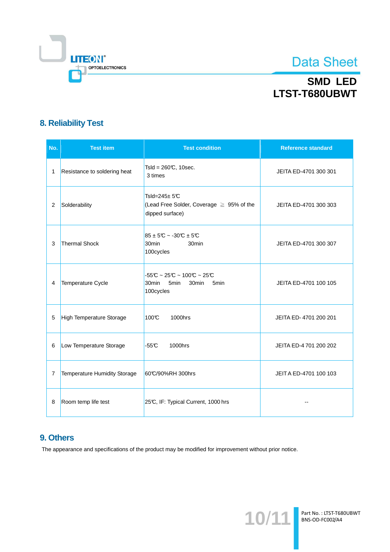

## **SMD LED** LTST-T680UBWT

### **8. Reliability Test**

| No. | <b>Test item</b>                    | <b>Test condition</b>                                                                         | <b>Reference standard</b> |
|-----|-------------------------------------|-----------------------------------------------------------------------------------------------|---------------------------|
| 1   | Resistance to soldering heat        | Tsld = $260C$ , 10sec.<br>3 times                                                             | JEITA ED-4701 300 301     |
| 2   | Solderability                       | Tsld= $245 \pm 5C$<br>(Lead Free Solder, Coverage ≥ 95% of the<br>dipped surface)             | JEITA ED-4701 300 303     |
| 3   | <b>Thermal Shock</b>                | $85 \pm 5$ °C ~ -30°C $\pm 5$ °C<br>30 <sub>min</sub><br>30 <sub>min</sub><br>100cycles       | JEITA ED-4701 300 307     |
| 4   | Temperature Cycle                   | $-55C \sim 25C \sim 100C \sim 25C$<br>30min<br>5min<br>30min<br>5 <sub>min</sub><br>100cycles | JEITA ED-4701 100 105     |
| 5   | <b>High Temperature Storage</b>     | 100°C<br>1000hrs                                                                              | JEITA ED-4701 200 201     |
| 6   | Low Temperature Storage             | $-55C$<br>1000hrs                                                                             | JEITA ED-4 701 200 202    |
| 7   | <b>Temperature Humidity Storage</b> | 60°C/90%RH 300hrs                                                                             | JEITA ED-4701 100 103     |
| 8   | Room temp life test                 | 25°C, IF: Typical Current, 1000 hrs                                                           |                           |

### 9. Others

The appearance and specifications of the product may be modified for improvement without prior notice.